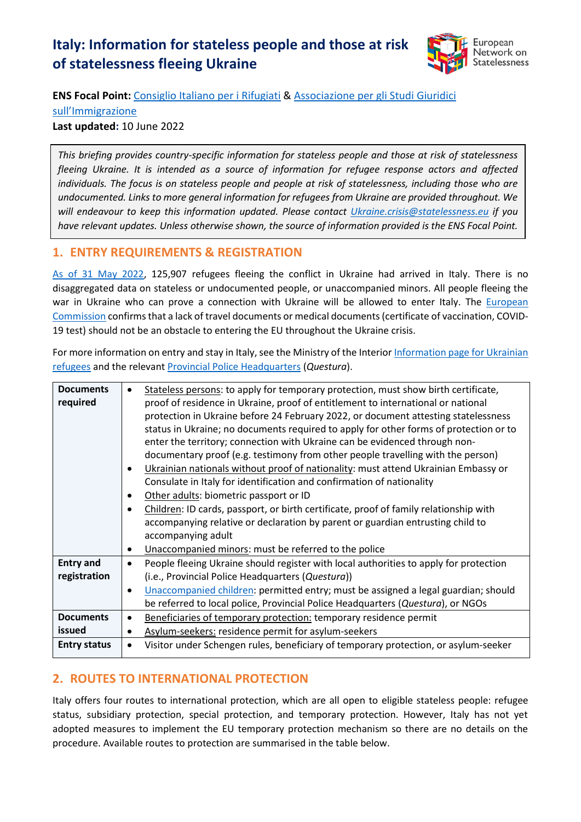# **Italy: Information for stateless people and those at risk of statelessness fleeing Ukraine**



**ENS Focal Point:** [Consiglio Italiano per i Rifugiati](http://www.cir-onlus.org/) & [Associazione per gli Studi Giuridici](http://www.asgi.it/) 

[sull'Immigrazione](http://www.asgi.it/) 

**Last updated:** 10 June 2022

*This briefing provides country-specific information for stateless people and those at risk of statelessness fleeing Ukraine. It is intended as a source of information for refugee response actors and affected individuals. The focus is on stateless people and people at risk of statelessness, including those who are undocumented. Links to more general information for refugees from Ukraine are provided throughout. We will endeavour to keep this information updated. Please contact [Ukraine.crisis@statelessness.eu](mailto:Ukraine.crisis@statelessness.eu) if you have relevant updates. Unless otherwise shown, the source of information provided is the ENS Focal Point.*

### **1. ENTRY REQUIREMENTS & REGISTRATION**

[As of 31 May 2022,](https://data.unhcr.org/en/situations/ukraine) 125,907 refugees fleeing the conflict in Ukraine had arrived in Italy. There is no disaggregated data on stateless or undocumented people, or unaccompanied minors. All people fleeing the war in Ukraine who can prove a connection with Ukraine will be allowed to enter Italy. The European [Commission](https://ec.europa.eu/info/sites/default/files/information_for_people_fleeing_russias_invasion_of_ukraine_en.pdf) confirms that a lack of travel documents or medical documents (certificate of vaccination, COVID-19 test) should not be an obstacle to entering the EU throughout the Ukraine crisis.

For more information on entry and stay in Italy, see the Ministry of the Interio[r Information page for Ukrainian](https://www.interno.gov.it/it/info-utili-lingresso-dei-profughi-ucraini-italia)  [refugees](https://www.interno.gov.it/it/info-utili-lingresso-dei-profughi-ucraini-italia) and the relevan[t Provincial Police Headquarters](https://questure.poliziadistato.it/it/Como/articolo/952622f0d165f86d953589922) (*Questura*).

| <b>Documents</b>    | $\bullet$                                                                                          |
|---------------------|----------------------------------------------------------------------------------------------------|
|                     | Stateless persons: to apply for temporary protection, must show birth certificate,                 |
| required            | proof of residence in Ukraine, proof of entitlement to international or national                   |
|                     | protection in Ukraine before 24 February 2022, or document attesting statelessness                 |
|                     | status in Ukraine; no documents required to apply for other forms of protection or to              |
|                     | enter the territory; connection with Ukraine can be evidenced through non-                         |
|                     | documentary proof (e.g. testimony from other people travelling with the person)                    |
|                     | Ukrainian nationals without proof of nationality: must attend Ukrainian Embassy or                 |
|                     | Consulate in Italy for identification and confirmation of nationality                              |
|                     | Other adults: biometric passport or ID<br>$\bullet$                                                |
|                     | Children: ID cards, passport, or birth certificate, proof of family relationship with              |
|                     | accompanying relative or declaration by parent or guardian entrusting child to                     |
|                     | accompanying adult                                                                                 |
|                     | Unaccompanied minors: must be referred to the police<br>$\bullet$                                  |
| <b>Entry and</b>    | People fleeing Ukraine should register with local authorities to apply for protection<br>$\bullet$ |
| registration        | (i.e., Provincial Police Headquarters (Questura))                                                  |
|                     | Unaccompanied children: permitted entry; must be assigned a legal guardian; should<br>$\bullet$    |
|                     | be referred to local police, Provincial Police Headquarters (Questura), or NGOs                    |
| <b>Documents</b>    | Beneficiaries of temporary protection: temporary residence permit<br>$\bullet$                     |
| issued              | Asylum-seekers: residence permit for asylum-seekers<br>$\bullet$                                   |
| <b>Entry status</b> | Visitor under Schengen rules, beneficiary of temporary protection, or asylum-seeker<br>$\bullet$   |
|                     |                                                                                                    |

## **2. ROUTES TO INTERNATIONAL PROTECTION**

Italy offers four routes to international protection, which are all open to eligible stateless people: refugee status, subsidiary protection, special protection, and temporary protection. However, Italy has not yet adopted measures to implement the EU temporary protection mechanism so there are no details on the procedure. Available routes to protection are summarised in the table below.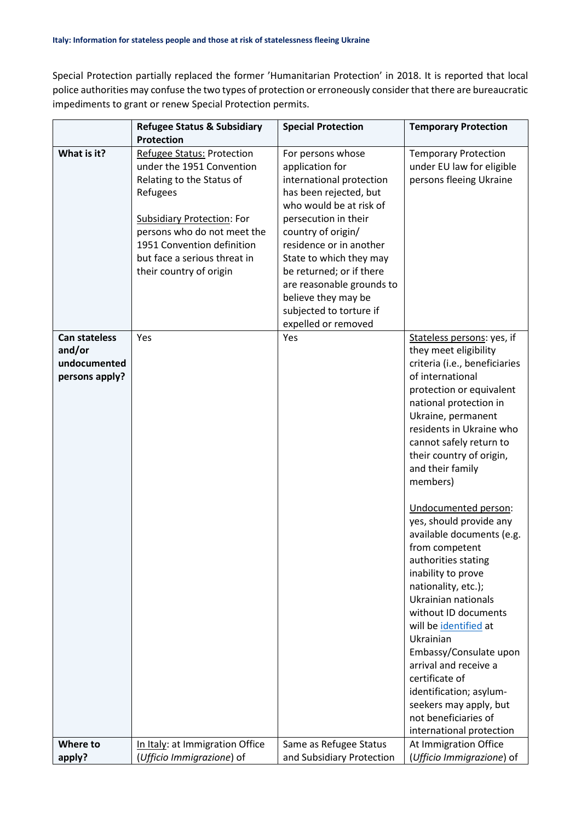Special Protection partially replaced the former 'Humanitarian Protection' in 2018. It is reported that local police authorities may confuse the two types of protection or erroneously consider that there are bureaucratic impediments to grant or renew Special Protection permits.

|                                                                  | <b>Refugee Status &amp; Subsidiary</b>                                                                                                                                                                                                                               | <b>Special Protection</b>                                                                                                                                                                                                                                                                                                                                   | <b>Temporary Protection</b>                                                                                                                                                                                                                                                                                                                                                                                                                                                                                                                                                                                                                                                                  |
|------------------------------------------------------------------|----------------------------------------------------------------------------------------------------------------------------------------------------------------------------------------------------------------------------------------------------------------------|-------------------------------------------------------------------------------------------------------------------------------------------------------------------------------------------------------------------------------------------------------------------------------------------------------------------------------------------------------------|----------------------------------------------------------------------------------------------------------------------------------------------------------------------------------------------------------------------------------------------------------------------------------------------------------------------------------------------------------------------------------------------------------------------------------------------------------------------------------------------------------------------------------------------------------------------------------------------------------------------------------------------------------------------------------------------|
|                                                                  | <b>Protection</b>                                                                                                                                                                                                                                                    |                                                                                                                                                                                                                                                                                                                                                             |                                                                                                                                                                                                                                                                                                                                                                                                                                                                                                                                                                                                                                                                                              |
| What is it?                                                      | <b>Refugee Status: Protection</b><br>under the 1951 Convention<br>Relating to the Status of<br>Refugees<br><b>Subsidiary Protection: For</b><br>persons who do not meet the<br>1951 Convention definition<br>but face a serious threat in<br>their country of origin | For persons whose<br>application for<br>international protection<br>has been rejected, but<br>who would be at risk of<br>persecution in their<br>country of origin/<br>residence or in another<br>State to which they may<br>be returned; or if there<br>are reasonable grounds to<br>believe they may be<br>subjected to torture if<br>expelled or removed | <b>Temporary Protection</b><br>under EU law for eligible<br>persons fleeing Ukraine                                                                                                                                                                                                                                                                                                                                                                                                                                                                                                                                                                                                          |
| <b>Can stateless</b><br>and/or<br>undocumented<br>persons apply? | Yes                                                                                                                                                                                                                                                                  | Yes                                                                                                                                                                                                                                                                                                                                                         | Stateless persons: yes, if<br>they meet eligibility<br>criteria (i.e., beneficiaries<br>of international<br>protection or equivalent<br>national protection in<br>Ukraine, permanent<br>residents in Ukraine who<br>cannot safely return to<br>their country of origin,<br>and their family<br>members)<br>Undocumented person:<br>yes, should provide any<br>available documents (e.g.<br>from competent<br>authorities stating<br>inability to prove<br>nationality, etc.);<br>Ukrainian nationals<br>without ID documents<br>will be identified at<br>Ukrainian<br>Embassy/Consulate upon<br>arrival and receive a<br>certificate of<br>identification; asylum-<br>seekers may apply, but |
|                                                                  |                                                                                                                                                                                                                                                                      |                                                                                                                                                                                                                                                                                                                                                             | not beneficiaries of<br>international protection                                                                                                                                                                                                                                                                                                                                                                                                                                                                                                                                                                                                                                             |
| Where to<br>apply?                                               | In Italy: at Immigration Office<br>(Ufficio Immigrazione) of                                                                                                                                                                                                         | Same as Refugee Status<br>and Subsidiary Protection                                                                                                                                                                                                                                                                                                         | At Immigration Office<br>(Ufficio Immigrazione) of                                                                                                                                                                                                                                                                                                                                                                                                                                                                                                                                                                                                                                           |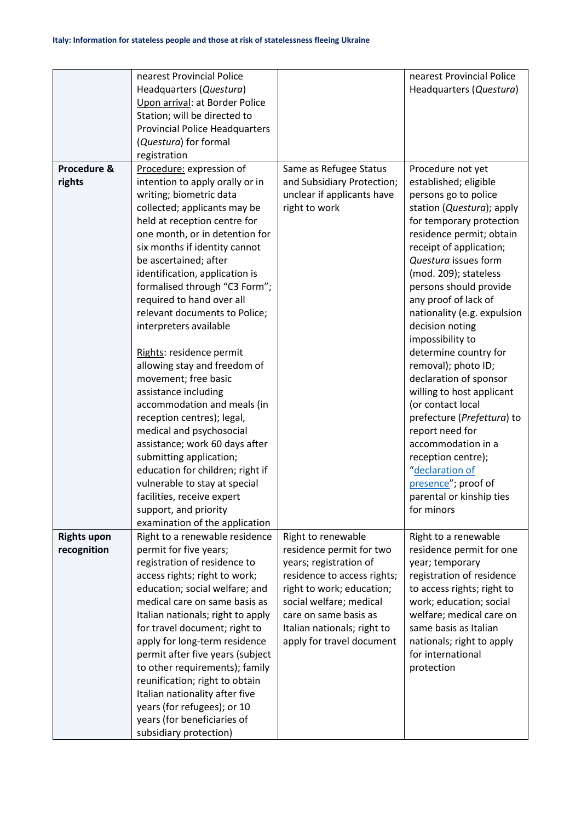|                    | nearest Provincial Police                            |                             | nearest Provincial Police                    |
|--------------------|------------------------------------------------------|-----------------------------|----------------------------------------------|
|                    | Headquarters (Questura)                              |                             | Headquarters (Questura)                      |
|                    | Upon arrival: at Border Police                       |                             |                                              |
|                    |                                                      |                             |                                              |
|                    | Station; will be directed to                         |                             |                                              |
|                    | <b>Provincial Police Headquarters</b>                |                             |                                              |
|                    | (Questura) for formal                                |                             |                                              |
| Procedure &        | registration                                         |                             |                                              |
|                    | Procedure: expression of                             | Same as Refugee Status      | Procedure not yet<br>established; eligible   |
| rights             | intention to apply orally or in                      | and Subsidiary Protection;  |                                              |
|                    | writing; biometric data                              | unclear if applicants have  | persons go to police                         |
|                    | collected; applicants may be                         | right to work               | station (Questura); apply                    |
|                    | held at reception centre for                         |                             | for temporary protection                     |
|                    | one month, or in detention for                       |                             | residence permit; obtain                     |
|                    | six months if identity cannot                        |                             | receipt of application;                      |
|                    | be ascertained; after                                |                             | Questura issues form                         |
|                    | identification, application is                       |                             | (mod. 209); stateless                        |
|                    | formalised through "C3 Form";                        |                             | persons should provide                       |
|                    | required to hand over all                            |                             | any proof of lack of                         |
|                    | relevant documents to Police;                        |                             | nationality (e.g. expulsion                  |
|                    | interpreters available                               |                             | decision noting                              |
|                    |                                                      |                             | impossibility to                             |
|                    | Rights: residence permit                             |                             | determine country for<br>removal); photo ID; |
|                    | allowing stay and freedom of<br>movement; free basic |                             | declaration of sponsor                       |
|                    | assistance including                                 |                             | willing to host applicant                    |
|                    | accommodation and meals (in                          |                             | (or contact local                            |
|                    | reception centres); legal,                           |                             | prefecture (Prefettura) to                   |
|                    | medical and psychosocial                             |                             | report need for                              |
|                    | assistance; work 60 days after                       |                             | accommodation in a                           |
|                    | submitting application;                              |                             | reception centre);                           |
|                    | education for children; right if                     |                             | "declaration of                              |
|                    | vulnerable to stay at special                        |                             | presence"; proof of                          |
|                    | facilities, receive expert                           |                             | parental or kinship ties                     |
|                    | support, and priority                                |                             | for minors                                   |
|                    | examination of the application                       |                             |                                              |
| <b>Rights upon</b> | Right to a renewable residence                       | Right to renewable          | Right to a renewable                         |
| recognition        | permit for five years;                               | residence permit for two    | residence permit for one                     |
|                    | registration of residence to                         | years; registration of      | year; temporary                              |
|                    | access rights; right to work;                        | residence to access rights; | registration of residence                    |
|                    | education; social welfare; and                       | right to work; education;   | to access rights; right to                   |
|                    | medical care on same basis as                        | social welfare; medical     | work; education; social                      |
|                    | Italian nationals; right to apply                    | care on same basis as       | welfare; medical care on                     |
|                    | for travel document; right to                        | Italian nationals; right to | same basis as Italian                        |
|                    | apply for long-term residence                        | apply for travel document   | nationals; right to apply                    |
|                    | permit after five years (subject                     |                             | for international                            |
|                    | to other requirements); family                       |                             | protection                                   |
|                    | reunification; right to obtain                       |                             |                                              |
|                    | Italian nationality after five                       |                             |                                              |
|                    | years (for refugees); or 10                          |                             |                                              |
|                    | years (for beneficiaries of                          |                             |                                              |
|                    | subsidiary protection)                               |                             |                                              |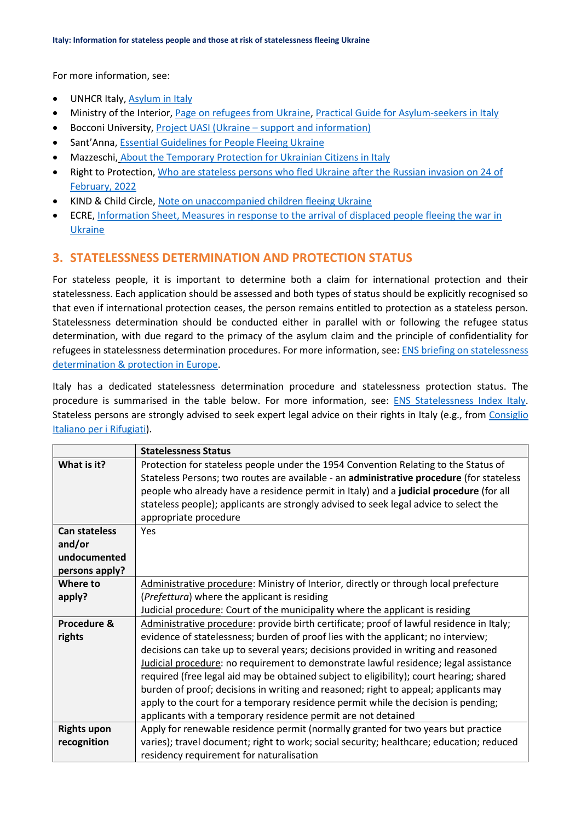For more information, see:

- UNHCR Italy, [Asylum in Italy](https://help.unhcr.org/italy/asylum-italy/)
- Ministry of the Interior[, Page on refugees from Ukraine,](https://www.interno.gov.it/it/info-utili-lingresso-dei-profughi-ucraini-italia) [Practical Guide for Asylum-seekers in Italy](https://www.interno.gov.it/sites/default/files/allegati/la_guida_in_inglese.pdf)
- Bocconi University, Project UASI (Ukraine [support and information\)](https://blest.unibocconi.eu/focus-europe-and-ukraine/focus-ukraine/uasi-ucraina-supporto-e-informazione)
- Sant'Anna, [Essential Guidelines for People Fleeing Ukraine](https://www.santannapisa.it/it/le-iniziative-della-scuola-santanna-sostegno-della-pace-ucraina)
- Mazzeschi, [About the Temporary Protection for Ukrainian Citizens in Italy](https://www.mazzeschi.it/temporary-protection-for-ukrainian-citizens-in-italy/)
- Right to Protection, [Who are stateless persons who fled Ukraine after the Russian invasion on 24 of](file:///C:/Users/gperin/Downloads/Who%20are%20stateless%20persons%20who%20fled%20Ukraine%20after%20the%20Russian%20invasion%20on%2024%20of%20February,%202022)  [February, 2022](file:///C:/Users/gperin/Downloads/Who%20are%20stateless%20persons%20who%20fled%20Ukraine%20after%20the%20Russian%20invasion%20on%2024%20of%20February,%202022)
- KIND & Child Circle, [Note on unaccompanied children fleeing Ukraine](https://supportkind.org/wp-content/uploads/2022/03/Note-on-Unaccompanied-Children-Fleeing-from-Ukraine_Updated.pdf)
- ECRE, [Information Sheet, Measures in response to the arrival of displaced people fleeing the war in](https://ecre.org/wp-content/uploads/2022/03/Information-Sheet-%E2%80%93-Access-to-territory-asylum-procedures-and-reception-conditions-for-Ukrainian-nationals-in-European-countries.pdf)  [Ukraine](https://ecre.org/wp-content/uploads/2022/03/Information-Sheet-%E2%80%93-Access-to-territory-asylum-procedures-and-reception-conditions-for-Ukrainian-nationals-in-European-countries.pdf)

#### **3. STATELESSNESS DETERMINATION AND PROTECTION STATUS**

For stateless people, it is important to determine both a claim for international protection and their statelessness. Each application should be assessed and both types of status should be explicitly recognised so that even if international protection ceases, the person remains entitled to protection as a stateless person. Statelessness determination should be conducted either in parallel with or following the refugee status determination, with due regard to the primacy of the asylum claim and the principle of confidentiality for refugees in statelessness determination procedures. For more information, see: [ENS briefing on statelessness](https://index.statelessness.eu/sites/default/files/ENS-Statelessness_determination_and_protection_in_Europe-Sep_2021.pdf)  [determination & protection in Europe.](https://index.statelessness.eu/sites/default/files/ENS-Statelessness_determination_and_protection_in_Europe-Sep_2021.pdf)

Italy has a dedicated statelessness determination procedure and statelessness protection status. The procedure is summarised in the table below. For more information, see: [ENS Statelessness Index Italy.](https://index.statelessness.eu/country/italy) Stateless persons are strongly advised to seek expert legal advice on their rights in Italy (e.g., from [Consiglio](https://www.cir-onlus.org/)  [Italiano per i Rifugiati\)](https://www.cir-onlus.org/).

|                      | <b>Statelessness Status</b>                                                              |
|----------------------|------------------------------------------------------------------------------------------|
| What is it?          | Protection for stateless people under the 1954 Convention Relating to the Status of      |
|                      | Stateless Persons; two routes are available - an administrative procedure (for stateless |
|                      | people who already have a residence permit in Italy) and a judicial procedure (for all   |
|                      | stateless people); applicants are strongly advised to seek legal advice to select the    |
|                      | appropriate procedure                                                                    |
| <b>Can stateless</b> | Yes                                                                                      |
| and/or               |                                                                                          |
| undocumented         |                                                                                          |
| persons apply?       |                                                                                          |
| Where to             | Administrative procedure: Ministry of Interior, directly or through local prefecture     |
| apply?               | (Prefettura) where the applicant is residing                                             |
|                      | Judicial procedure: Court of the municipality where the applicant is residing            |
| Procedure &          | Administrative procedure: provide birth certificate; proof of lawful residence in Italy; |
| rights               | evidence of statelessness; burden of proof lies with the applicant; no interview;        |
|                      | decisions can take up to several years; decisions provided in writing and reasoned       |
|                      | Judicial procedure: no requirement to demonstrate lawful residence; legal assistance     |
|                      | required (free legal aid may be obtained subject to eligibility); court hearing; shared  |
|                      | burden of proof; decisions in writing and reasoned; right to appeal; applicants may      |
|                      | apply to the court for a temporary residence permit while the decision is pending;       |
|                      | applicants with a temporary residence permit are not detained                            |
| <b>Rights upon</b>   | Apply for renewable residence permit (normally granted for two years but practice        |
| recognition          | varies); travel document; right to work; social security; healthcare; education; reduced |
|                      | residency requirement for naturalisation                                                 |